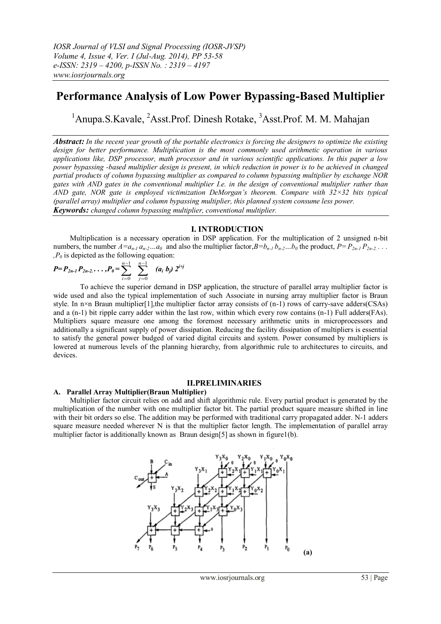# **Performance Analysis of Low Power Bypassing-Based Multiplier**

<sup>1</sup>Anupa.S.Kavale, <sup>2</sup>Asst.Prof. Dinesh Rotake, <sup>3</sup>Asst.Prof. M. M. Mahajan

*Abstract: In the recent year growth of the portable electronics is forcing the designers to optimize the existing design for better performance. Multiplication is the most commonly used arithmetic operation in various applications like, DSP processor, math processor and in various scientific applications. In this paper a low power bypassing -based multiplier design is present, in which reduction in power is to be achieved in changed partial products of column bypassing multiplier as compared to column bypassing multiplier by exchange NOR gates with AND gates in the conventional multiplier I.e. in the design of conventional multiplier rather than AND gate, NOR gate is employed victimization DeMorgan's theorem. Compare with 32×32 bits typical (parallel array) multiplier and column bypassing multiplier, this planned system consume less power. Keywords: changed column bypassing multiplier, conventional multiplier.*

## **I. INTRODUCTION**

 Multiplication is a necessary operation in DSP application. For the multiplication of 2 unsigned n-bit numbers, the number  $A = a_{n-1} a_{n-2} \dots a_0$  and also the multiplier factor,  $B = b_{n-1} b_{n-2} \dots b_0$  the product,  $P = P_{2n-1} P_{2n-2} \dots$  $P_0$  is depicted as the following equation:

$$
P = P_{2n-1} P_{2n-2} \ldots , P_0 = \sum_{i=0}^{n-1} \sum_{j=0}^{n-1} (a_i \ b_j) \ 2^{i+j}
$$

To achieve the superior demand in DSP application, the structure of parallel array multiplier factor is wide used and also the typical implementation of such Associate in nursing array multiplier factor is Braun style. In  $n \times n$  Braun multiplier[1],the multiplier factor array consists of  $(n-1)$  rows of carry-save adders(CSAs) and a (n-1) bit ripple carry adder within the last row, within which every row contains (n-1) Full adders(FAs). Multipliers square measure one among the foremost necessary arithmetic units in microprocessors and additionally a significant supply of power dissipation. Reducing the facility dissipation of multipliers is essential to satisfy the general power budged of varied digital circuits and system. Power consumed by multipliers is lowered at numerous levels of the planning hierarchy, from algorithmic rule to architectures to circuits, and devices.

#### **II.PRELIMINARIES**

#### **A. Parallel Array Multiplier(Braun Multiplier)**

 Multiplier factor circuit relies on add and shift algorithmic rule. Every partial product is generated by the multiplication of the number with one multiplier factor bit. The partial product square measure shifted in line with their bit orders so else. The addition may be performed with traditional carry propagated adder. N-1 adders square measure needed wherever N is that the multiplier factor length. The implementation of parallel array multiplier factor is additionally known as Braun design[5] as shown in figure1(b).

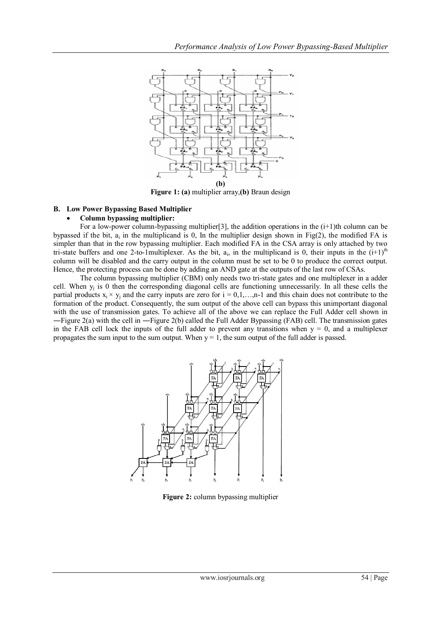

**Figure 1: (a)** multiplier array,**(b)** Braun design

# **B. Low Power Bypassing Based Multiplier**

# **Column bypassing multiplier:**

For a low-power column-bypassing multiplier [3], the addition operations in the  $(i+1)$ th column can be bypassed if the bit,  $a_i$  in the multiplicand is 0, In the multiplier design shown in Fig(2), the modified FA is simpler than that in the row bypassing multiplier. Each modified FA in the CSA array is only attached by two tri-state buffers and one 2-to-1multiplexer. As the bit,  $a_i$ , in the multiplicand is 0, their inputs in the  $(i+1)^{th}$ column will be disabled and the carry output in the column must be set to be 0 to produce the correct output. Hence, the protecting process can be done by adding an AND gate at the outputs of the last row of CSAs.

The column bypassing multiplier (CBM) only needs two tri-state gates and one multiplexer in a adder cell. When  $y_j$  is 0 then the corresponding diagonal cells are functioning unnecessarily. In all these cells the partial products  $x_i \times y_i$  and the carry inputs are zero for  $i = 0,1,...,n-1$  and this chain does not contribute to the formation of the product. Consequently, the sum output of the above cell can bypass this unimportant diagonal with the use of transmission gates. To achieve all of the above we can replace the Full Adder cell shown in ―Figure 2(a) with the cell in ―Figure 2(b) called the Full Adder Bypassing (FAB) cell. The transmission gates in the FAB cell lock the inputs of the full adder to prevent any transitions when  $y = 0$ , and a multiplexer propagates the sum input to the sum output. When  $y = 1$ , the sum output of the full adder is passed.



**Figure 2:** column bypassing multiplier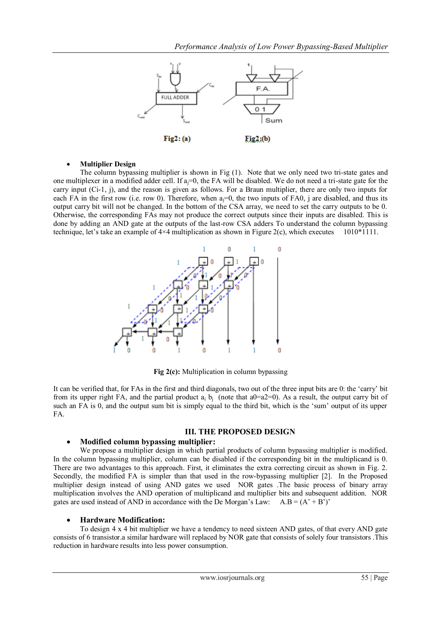

## **Multiplier Design**

The column bypassing multiplier is shown in Fig (1). Note that we only need two tri-state gates and one multiplexer in a modified adder cell. If  $a_i=0$ , the FA will be disabled. We do not need a tri-state gate for the carry input (Ci-1, j), and the reason is given as follows. For a Braun multiplier, there are only two inputs for each FA in the first row (i.e. row 0). Therefore, when  $a_i=0$ , the two inputs of FA0, j are disabled, and thus its output carry bit will not be changed. In the bottom of the CSA array, we need to set the carry outputs to be 0. Otherwise, the corresponding FAs may not produce the correct outputs since their inputs are disabled. This is done by adding an AND gate at the outputs of the last-row CSA adders To understand the column bypassing technique, let's take an example of  $4\times4$  multiplication as shown in Figure 2(c), which executes 1010\*1111.



**Fig 2(c):** Multiplication in column bypassing

It can be verified that, for FAs in the first and third diagonals, two out of the three input bits are 0: the "carry" bit from its upper right FA, and the partial product  $a_i$   $b_i$  (note that a0=a2=0). As a result, the output carry bit of such an FA is 0, and the output sum bit is simply equal to the third bit, which is the 'sum' output of its upper FA.

# **III. THE PROPOSED DESIGN**

# **Modified column bypassing multiplier:**

We propose a multiplier design in which partial products of column bypassing multiplier is modified. In the column bypassing multiplier, column can be disabled if the corresponding bit in the multiplicand is 0. There are two advantages to this approach. First, it eliminates the extra correcting circuit as shown in Fig. 2. Secondly, the modified FA is simpler than that used in the row-bypassing multiplier [2]. In the Proposed multiplier design instead of using AND gates we used NOR gates .The basic process of binary array multiplication involves the AND operation of multiplicand and multiplier bits and subsequent addition. NOR gates are used instead of AND in accordance with the De Morgan's Law:  $A.B = (A' + B')'$ 

# **Hardware Modification:**

To design 4 x 4 bit multiplier we have a tendency to need sixteen AND gates, of that every AND gate consists of 6 transistor.a similar hardware will replaced by NOR gate that consists of solely four transistors .This reduction in hardware results into less power consumption.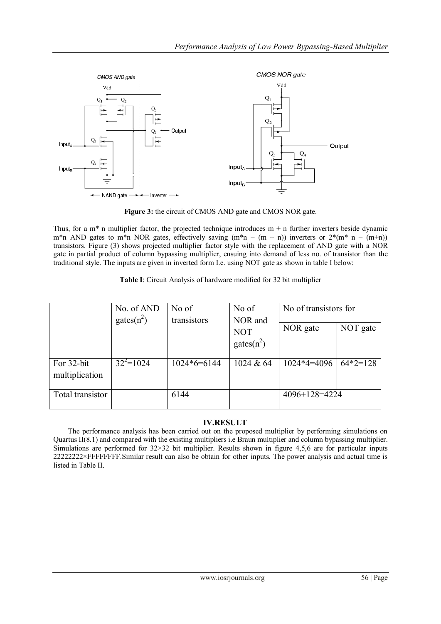

Figure 3: the circuit of CMOS AND gate and CMOS NOR gate.

Thus, for a m<sup>\*</sup> n multiplier factor, the projected technique introduces  $m + n$  further inverters beside dynamic m\*n AND gates to m\*n NOR gates, effectively saving  $(m*n - (m + n))$  inverters or  $2*(m*n - (m+n))$ transistors. Figure (3) shows projected multiplier factor style with the replacement of AND gate with a NOR gate in partial product of column bypassing multiplier, ensuing into demand of less no. of transistor than the traditional style. The inputs are given in inverted form I.e. using NOT gate as shown in table I below:

| Table I: Circuit Analysis of hardware modified for 32 bit multiplier |  |
|----------------------------------------------------------------------|--|
|----------------------------------------------------------------------|--|

|                              | No. of AND    | No of         | No of                                  | No of transistors for |            |
|------------------------------|---------------|---------------|----------------------------------------|-----------------------|------------|
|                              | $gates(n^2)$  | transistors   | NOR and<br><b>NOT</b><br>gates $(n^2)$ | NOR gate              | NOT gate   |
| For 32-bit<br>multiplication | $32^{2}=1024$ | $1024*6=6144$ | 1024 & $64$                            | $1024*4=4096$         | $64*2=128$ |
| Total transistor             |               | 6144          |                                        | $4096+128=4224$       |            |

# **IV.RESULT**

 The performance analysis has been carried out on the proposed multiplier by performing simulations on Quartus II(8.1) and compared with the existing multipliers i.e Braun multiplier and column bypassing multiplier. Simulations are performed for  $32\times32$  bit multiplier. Results shown in figure 4,5,6 are for particular inputs 22222222×FFFFFFFF.Similar result can also be obtain for other inputs. The power analysis and actual time is listed in Table II.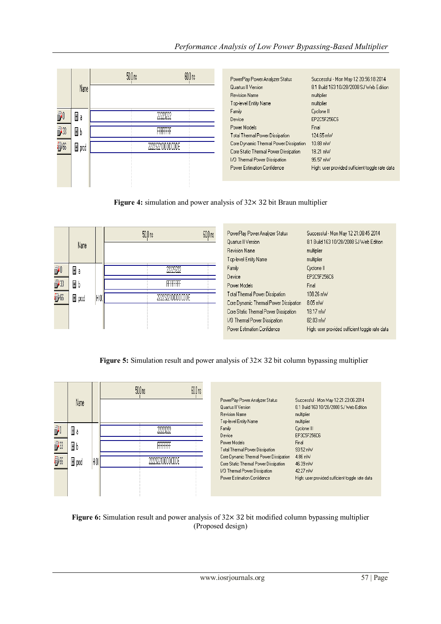# *Performance Analysis of Low Power Bypassing-Based Multiplier*

|                                                  |         | 50.0 <sub>ns</sub> |                  | $60.0 \text{ ns}$ |
|--------------------------------------------------|---------|--------------------|------------------|-------------------|
|                                                  | Name    |                    |                  |                   |
|                                                  | Ξð      |                    | 2223222          |                   |
| <b>i</b><br><b>i</b><br><b>i</b><br><br><b>i</b> | Ξb      |                    | FFFFFFFF         |                   |
|                                                  | l∃ prod |                    | 22223221DDDDCDDE |                   |
|                                                  |         |                    |                  |                   |
|                                                  |         |                    |                  |                   |

| PowerPlay Power Analyzer Status        | Successful - Mon May 12 20:56:18 2014           |
|----------------------------------------|-------------------------------------------------|
| Quartus II Version                     | 8.1 Build 163 10/28/2008 SJ Web Edition.        |
| <b>Revision Name</b>                   | multiplier                                      |
| Top-level Entity Name                  | multiplier                                      |
| Family                                 | Cyclone II                                      |
| Device                                 | EP2C5F256C6                                     |
| Power Models                           | Final                                           |
| <b>Total Thermal Power Dissipation</b> | 124.65 mW                                       |
| Core Dynamic Thermal Power Dissipation | $10.88 \text{ mW}$                              |
| Core Static Thermal Power Dissipation  | 18.21 mW                                        |
| 1/0 Thermal Power Dissipation          | 95.57 mW                                        |
| Power Estimation Confidence            | High: user provided sufficient toggle rate data |
|                                        |                                                 |

**Figure 4:** simulation and power analysis of 32× 32 bit Braun multiplier

|                | Name     |    | 50.0 <sub>ns</sub> | 60.0 ns | PowerPlay Power Analyzer S<br>Quartus II Version<br><b>Revision Name</b><br>Top-level Entity Name                                                              |
|----------------|----------|----|--------------------|---------|----------------------------------------------------------------------------------------------------------------------------------------------------------------|
| <u>đ</u><br>73 | Ξa<br>Ξb |    | FFFFFFF            |         | Family<br>Device<br>Power Models                                                                                                                               |
| 56             | 国 prod   | HO |                    |         | <b>Total Thermal Power Dissipal</b><br>Core Dynamic Thermal Powe<br>Core Static Thermal Power D<br>1/0 Thermal Power Dissipatio<br>Power Estimation Confidence |

| PowerPlay Power Analyzer Status         | Successful - Mon May 12 21:08:45 2014           |
|-----------------------------------------|-------------------------------------------------|
| Quartus II Version                      | 8.1 Build 163 10/28/2008 SJ Web Edition         |
| <b>Revision Name</b>                    | multiplier                                      |
| Top-level Entity Name                   | multiplier                                      |
| Family                                  | Cyclone II                                      |
| Device                                  | EP2C5F256C6                                     |
| Power Models                            | Final                                           |
| <b>Total Thermal Power Dissipation</b>  | 108.26 mW                                       |
| Core Dynamic Thermal Power Dissipation. | $8.05 \text{ mW}$                               |
| Core Static Thermal Power Dissipation   | 18.17 mW                                        |
| 1/0 Thermal Power Dissipation           | 82.03 mW                                        |
| Power Estimation Confidence             | High: user provided sufficient toggle rate data |

**Figure 5:** Simulation result and power analysis of 32× 32 bit column bypassing multiplier

|    | Name   | 50.0 <sub>ns</sub> | 60.0 ns<br>PowerPlay Power Analyzer Status<br>Successful - Mon May 12 21:23:06 2014<br>8.1 Build 163 10/28/2008 SJ Web Edition<br>Quartus II Version<br><b>Revision Name</b><br>multiplier<br>Top-level Entity Name<br>multiplier |  |
|----|--------|--------------------|-----------------------------------------------------------------------------------------------------------------------------------------------------------------------------------------------------------------------------------|--|
| Ñ  |        | ,,,,,,,,,          | Cyclone III<br>Family<br>Device<br>EP3C5F256C6                                                                                                                                                                                    |  |
| Ĵ  | Ξb     | FFFFFFFF           | Power Models<br>Final<br>93.52 mW<br>Total Thermal Power Dissipation                                                                                                                                                              |  |
| 50 | 图 prod |                    | 4.86 mW<br>Core Dynamic Thermal Power Dissipation<br>Core Static Thermal Power Dissipation<br>46.39 mW<br>1/0 Thermal Power Dissipation<br>42.27 mW                                                                               |  |
|    |        |                    | Power Estimation Confidence<br>High: user provided sufficient toggle rate data                                                                                                                                                    |  |